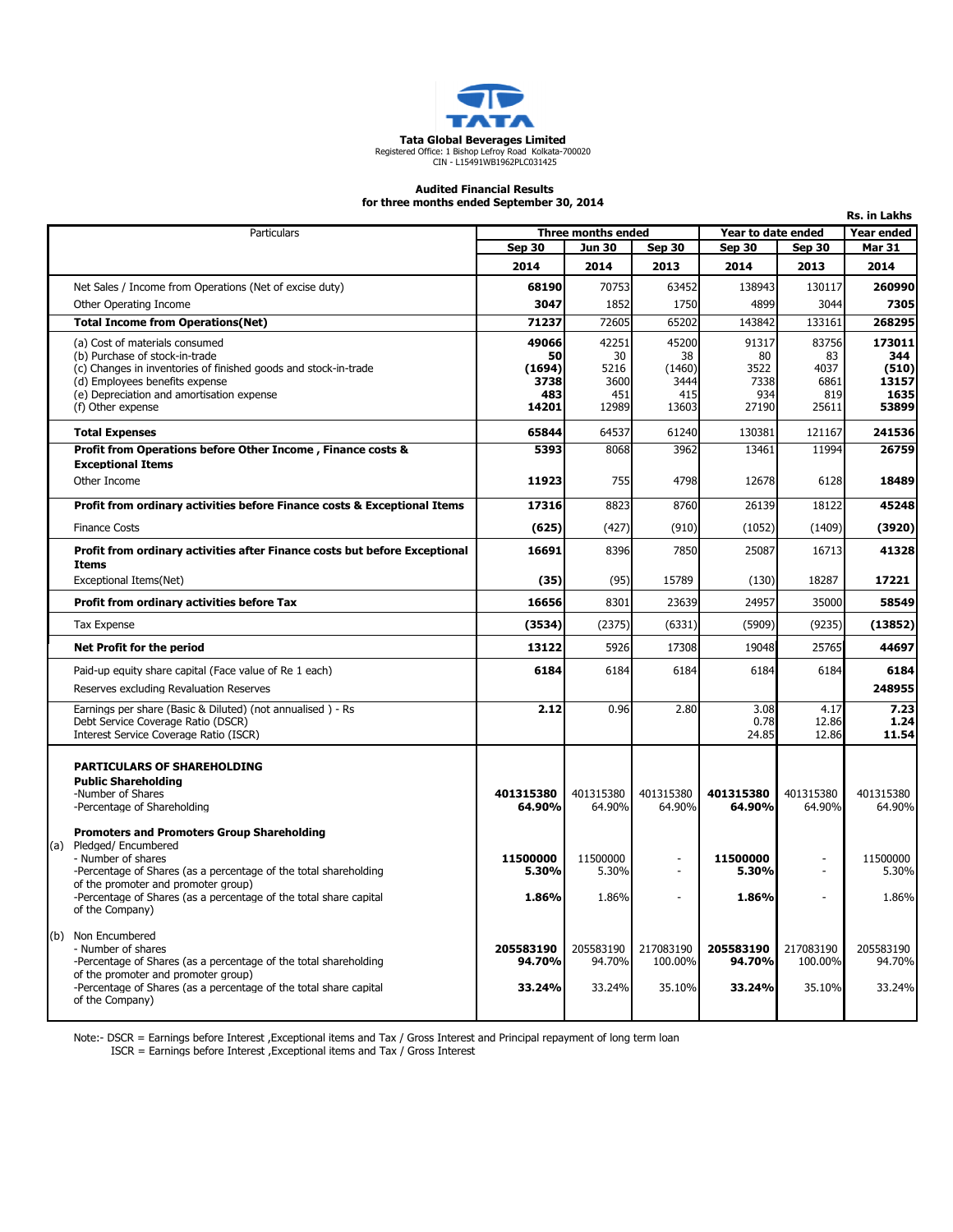

## Audited Financial Results

for three months ended September 30, 2014

| unce months enged september 50,<br>Rs. in Lakhs |                                                                                                   |                                          |                   |                          |                   |                   |                   |  |
|-------------------------------------------------|---------------------------------------------------------------------------------------------------|------------------------------------------|-------------------|--------------------------|-------------------|-------------------|-------------------|--|
|                                                 | Particulars                                                                                       | Three months ended<br>Year to date ended |                   |                          |                   | <b>Year ended</b> |                   |  |
|                                                 |                                                                                                   | <b>Sep 30</b>                            | <b>Jun 30</b>     | <b>Sep 30</b>            | <b>Sep 30</b>     | <b>Sep 30</b>     | <b>Mar 31</b>     |  |
|                                                 |                                                                                                   | 2014                                     | 2014              | 2013                     | 2014              | 2013              | 2014              |  |
|                                                 | Net Sales / Income from Operations (Net of excise duty)                                           | 68190                                    | 70753             | 63452                    | 138943            | 130117            | 260990            |  |
|                                                 | Other Operating Income                                                                            | 3047                                     | 1852              | 1750                     | 4899              | 3044              | 7305              |  |
|                                                 | <b>Total Income from Operations (Net)</b>                                                         | 71237                                    | 72605             | 65202                    | 143842            | 133161            | 268295            |  |
|                                                 | (a) Cost of materials consumed                                                                    | 49066                                    | 42251             | 45200                    | 91317             | 83756             | 173011            |  |
|                                                 | (b) Purchase of stock-in-trade<br>(c) Changes in inventories of finished goods and stock-in-trade | 50<br>(1694)                             | 30<br>5216        | 38<br>(1460)             | 80<br>3522        | 83<br>4037        | 344<br>(510)      |  |
|                                                 | (d) Employees benefits expense                                                                    | 3738                                     | 3600              | 3444                     | 7338              | 6861              | 13157             |  |
|                                                 | (e) Depreciation and amortisation expense                                                         | 483                                      | 451               | 415                      | 934               | 819               | 1635              |  |
|                                                 | (f) Other expense                                                                                 | 14201                                    | 12989             | 13603                    | 27190             | 25611             | 53899             |  |
|                                                 | <b>Total Expenses</b>                                                                             | 65844                                    | 64537             | 61240                    | 130381            | 121167            | 241536            |  |
|                                                 | Profit from Operations before Other Income, Finance costs &                                       | 5393                                     | 8068              | 3962                     | 13461             | 11994             | 26759             |  |
|                                                 | <b>Exceptional Items</b>                                                                          |                                          |                   |                          |                   |                   |                   |  |
|                                                 | Other Income                                                                                      | 11923                                    | 755               | 4798                     | 12678             | 6128              | 18489             |  |
|                                                 | Profit from ordinary activities before Finance costs & Exceptional Items                          | 17316                                    | 8823              | 8760                     | 26139             | 18122             | 45248             |  |
|                                                 | <b>Finance Costs</b>                                                                              | (625)                                    | (427)             | (910)                    | (1052)            | (1409)            | (3920)            |  |
|                                                 | Profit from ordinary activities after Finance costs but before Exceptional                        | 16691                                    | 8396              | 7850                     | 25087             | 16713             | 41328             |  |
|                                                 | Items                                                                                             |                                          | (95)              | 15789                    |                   | 18287             | 17221             |  |
|                                                 | Exceptional Items(Net)                                                                            | (35)                                     |                   |                          | (130)             |                   |                   |  |
|                                                 | Profit from ordinary activities before Tax                                                        | 16656                                    | 8301              | 23639                    | 24957             | 35000             | 58549             |  |
|                                                 | <b>Tax Expense</b>                                                                                | (3534)                                   | (2375)            | (6331)                   | (5909)            | (9235)            | (13852)           |  |
|                                                 | Net Profit for the period                                                                         | 13122                                    | 5926              | 17308                    | 19048             | 25765             | 44697             |  |
|                                                 | Paid-up equity share capital (Face value of Re 1 each)                                            | 6184                                     | 6184              | 6184                     | 6184              | 6184              | 6184              |  |
|                                                 | Reserves excluding Revaluation Reserves                                                           |                                          |                   |                          |                   |                   | 248955            |  |
|                                                 | Earnings per share (Basic & Diluted) (not annualised) - Rs                                        | 2.12                                     | 0.96              | 2.80                     | 3.08              | 4.17              | 7.23              |  |
|                                                 | Debt Service Coverage Ratio (DSCR)<br>Interest Service Coverage Ratio (ISCR)                      |                                          |                   |                          | 0.78<br>24.85     | 12.86<br>12.86    | 1.24<br>11.54     |  |
|                                                 |                                                                                                   |                                          |                   |                          |                   |                   |                   |  |
|                                                 | <b>PARTICULARS OF SHAREHOLDING</b>                                                                |                                          |                   |                          |                   |                   |                   |  |
|                                                 | <b>Public Shareholding</b>                                                                        |                                          |                   |                          |                   |                   |                   |  |
|                                                 | -Number of Shares                                                                                 | 401315380                                | 401315380         | 401315380                | 401315380         | 401315380         | 401315380         |  |
|                                                 | -Percentage of Shareholding                                                                       | 64.90%                                   | 64.90%            | 64.90%                   | 64.90%            | 64.90%            | 64.90%            |  |
|                                                 | <b>Promoters and Promoters Group Shareholding</b>                                                 |                                          |                   |                          |                   |                   |                   |  |
|                                                 | (a) Pledged/Encumbered                                                                            |                                          |                   |                          |                   |                   |                   |  |
|                                                 | - Number of shares<br>-Percentage of Shares (as a percentage of the total shareholding            | 11500000<br>5.30%                        | 11500000<br>5.30% | $\overline{\phantom{a}}$ | 11500000<br>5.30% |                   | 11500000<br>5.30% |  |
|                                                 | of the promoter and promoter group)                                                               |                                          |                   |                          |                   |                   |                   |  |
|                                                 | -Percentage of Shares (as a percentage of the total share capital<br>of the Company)              | 1.86%                                    | 1.86%             |                          | 1.86%             |                   | 1.86%             |  |
|                                                 |                                                                                                   |                                          |                   |                          |                   |                   |                   |  |
|                                                 | (b) Non Encumbered<br>- Number of shares                                                          | 205583190                                | 205583190         | 217083190                | 205583190         | 217083190         | 205583190         |  |
|                                                 | -Percentage of Shares (as a percentage of the total shareholding                                  | 94.70%                                   | 94.70%            | 100.00%                  | 94.70%            | 100.00%           | 94.70%            |  |
|                                                 | of the promoter and promoter group)                                                               |                                          |                   |                          |                   |                   |                   |  |
|                                                 | -Percentage of Shares (as a percentage of the total share capital<br>of the Company)              | 33.24%                                   | 33.24%            | 35.10%                   | 33.24%            | 35.10%            | 33.24%            |  |
|                                                 |                                                                                                   |                                          |                   |                          |                   |                   |                   |  |

Note:- DSCR = Earnings before Interest ,Exceptional items and Tax / Gross Interest and Principal repayment of long term loan

ISCR = Earnings before Interest ,Exceptional items and Tax / Gross Interest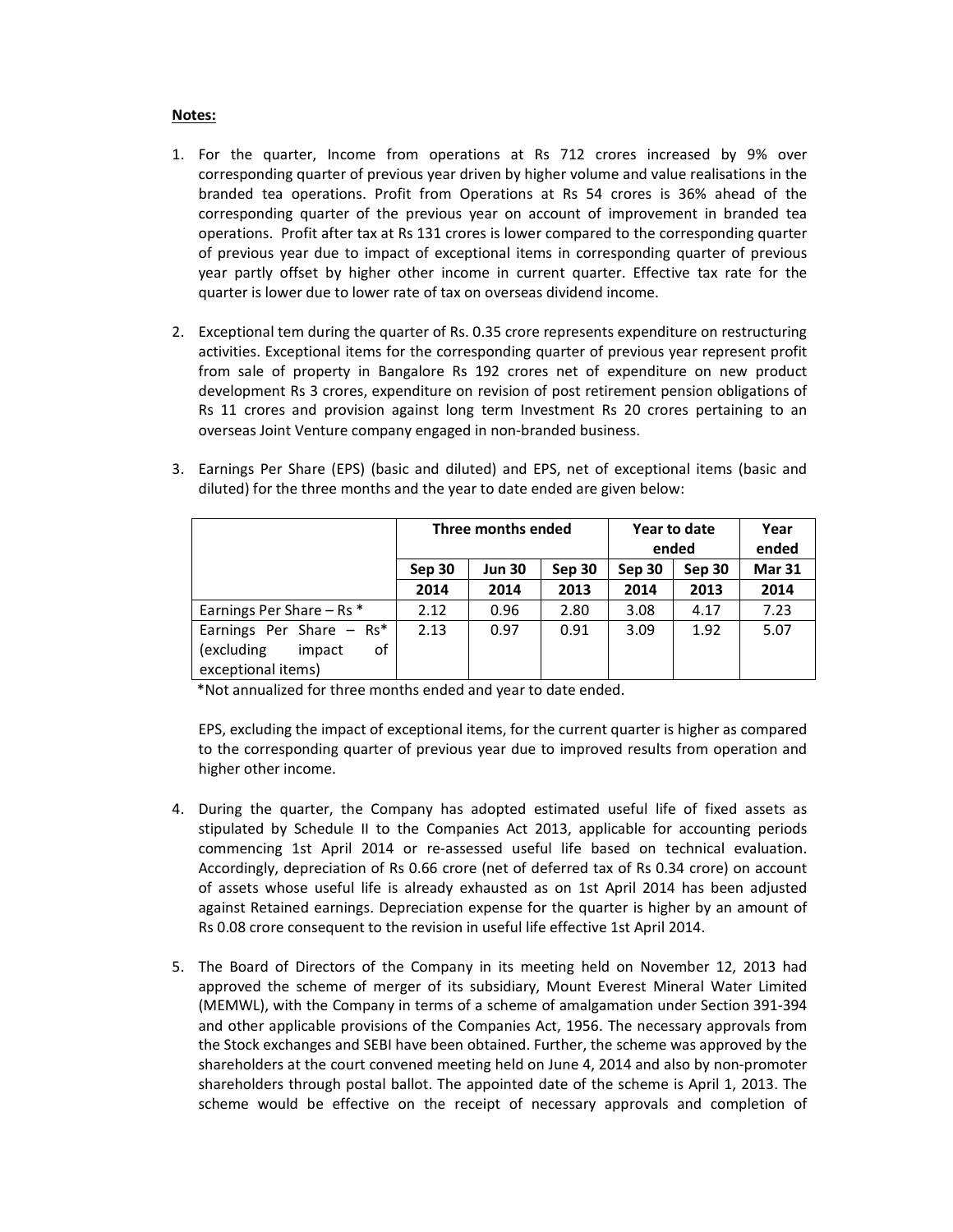## Notes:

- 1. For the quarter, Income from operations at Rs 712 crores increased by 9% over corresponding quarter of previous year driven by higher volume and value realisations in the branded tea operations. Profit from Operations at Rs 54 crores is 36% ahead of the corresponding quarter of the previous year on account of improvement in branded tea operations. Profit after tax at Rs 131 crores is lower compared to the corresponding quarter of previous year due to impact of exceptional items in corresponding quarter of previous year partly offset by higher other income in current quarter. Effective tax rate for the quarter is lower due to lower rate of tax on overseas dividend income.
- 2. Exceptional tem during the quarter of Rs. 0.35 crore represents expenditure on restructuring activities. Exceptional items for the corresponding quarter of previous year represent profit from sale of property in Bangalore Rs 192 crores net of expenditure on new product development Rs 3 crores, expenditure on revision of post retirement pension obligations of Rs 11 crores and provision against long term Investment Rs 20 crores pertaining to an overseas Joint Venture company engaged in non-branded business.

| 3. Earnings Per Share (EPS) (basic and diluted) and EPS, net of exceptional items (basic and |
|----------------------------------------------------------------------------------------------|
| diluted) for the three months and the year to date ended are given below:                    |

|                                                  | Three months ended |               |        | Year to date<br>ended | Year<br>ended |               |
|--------------------------------------------------|--------------------|---------------|--------|-----------------------|---------------|---------------|
|                                                  | Sep 30             | <b>Jun 30</b> | Sep 30 | Sep 30                | Sep 30        | <b>Mar 31</b> |
|                                                  | 2014               | 2014          | 2013   | 2014                  | 2013          | 2014          |
| Earnings Per Share $-$ Rs $*$                    | 2.12               | 0.96          | 2.80   | 3.08                  | 4.17          | 7.23          |
| Earnings Per Share $-$ Rs*                       | 2.13               | 0.97          | 0.91   | 3.09                  | 1.92          | 5.07          |
| (excluding<br>οf<br>impact<br>exceptional items) |                    |               |        |                       |               |               |

\*Not annualized for three months ended and year to date ended.

EPS, excluding the impact of exceptional items, for the current quarter is higher as compared to the corresponding quarter of previous year due to improved results from operation and higher other income.

- 4. During the quarter, the Company has adopted estimated useful life of fixed assets as stipulated by Schedule II to the Companies Act 2013, applicable for accounting periods commencing 1st April 2014 or re-assessed useful life based on technical evaluation. Accordingly, depreciation of Rs 0.66 crore (net of deferred tax of Rs 0.34 crore) on account of assets whose useful life is already exhausted as on 1st April 2014 has been adjusted against Retained earnings. Depreciation expense for the quarter is higher by an amount of Rs 0.08 crore consequent to the revision in useful life effective 1st April 2014.
- 5. The Board of Directors of the Company in its meeting held on November 12, 2013 had approved the scheme of merger of its subsidiary, Mount Everest Mineral Water Limited (MEMWL), with the Company in terms of a scheme of amalgamation under Section 391-394 and other applicable provisions of the Companies Act, 1956. The necessary approvals from the Stock exchanges and SEBI have been obtained. Further, the scheme was approved by the shareholders at the court convened meeting held on June 4, 2014 and also by non-promoter shareholders through postal ballot. The appointed date of the scheme is April 1, 2013. The scheme would be effective on the receipt of necessary approvals and completion of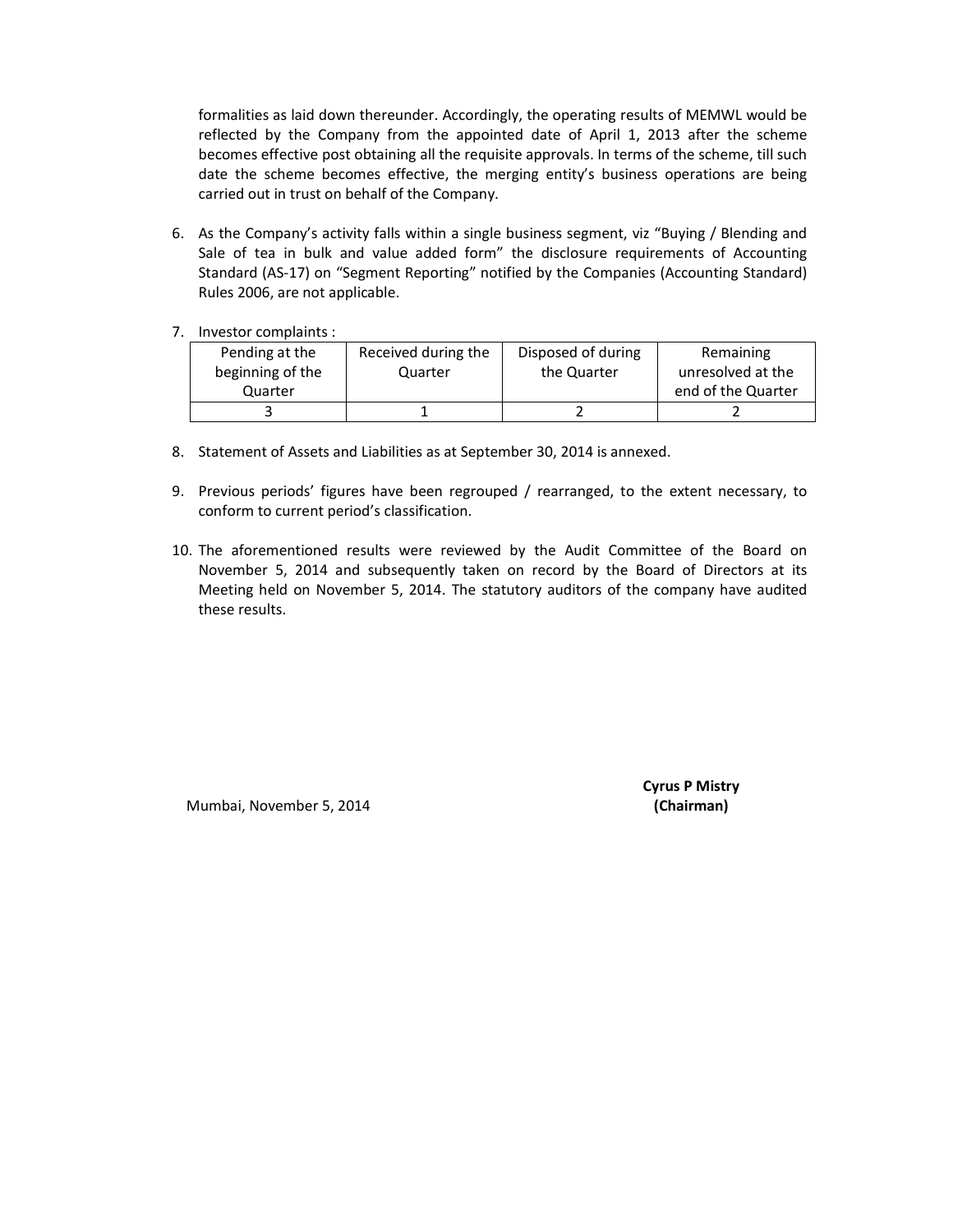formalities as laid down thereunder. Accordingly, the operating results of MEMWL would be reflected by the Company from the appointed date of April 1, 2013 after the scheme becomes effective post obtaining all the requisite approvals. In terms of the scheme, till such date the scheme becomes effective, the merging entity's business operations are being carried out in trust on behalf of the Company.

- 6. As the Company's activity falls within a single business segment, viz "Buying / Blending and Sale of tea in bulk and value added form" the disclosure requirements of Accounting Standard (AS-17) on "Segment Reporting" notified by the Companies (Accounting Standard) Rules 2006, are not applicable.
- 7. Investor complaints :

| Pending at the   | Received during the | Disposed of during | Remaining          |
|------------------|---------------------|--------------------|--------------------|
| beginning of the | Quarter             | the Quarter        | unresolved at the  |
| Quarter          |                     |                    | end of the Quarter |
|                  |                     |                    |                    |

- 8. Statement of Assets and Liabilities as at September 30, 2014 is annexed.
- 9. Previous periods' figures have been regrouped / rearranged, to the extent necessary, to conform to current period's classification.
- 10. The aforementioned results were reviewed by the Audit Committee of the Board on November 5, 2014 and subsequently taken on record by the Board of Directors at its Meeting held on November 5, 2014. The statutory auditors of the company have audited these results.

Mumbai, November 5, 2014 (Chairman)

Cyrus P Mistry